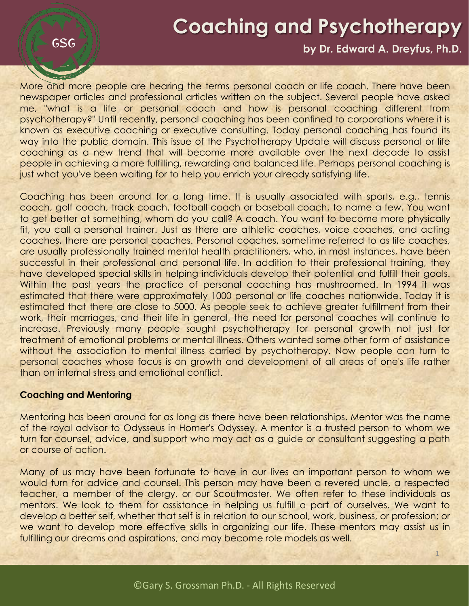## **Coaching and Psychotherapy**

#### **by Dr. Edward A. Dreyfus, Ph.D.**

1

More and more people are hearing the terms personal coach or life coach. There have been newspaper articles and professional articles written on the subject. Several people have asked me, "what is a life or personal coach and how is personal coaching different from psychotherapy?" Until recently, personal coaching has been confined to corporations where it is known as executive coaching or executive consulting. Today personal coaching has found its way into the public domain. This issue of the Psychotherapy Update will discuss personal or life coaching as a new trend that will become more available over the next decade to assist people in achieving a more fulfilling, rewarding and balanced life. Perhaps personal coaching is just what you've been waiting for to help you enrich your already satisfying life.

Coaching has been around for a long time. It is usually associated with sports, e.g., tennis coach, golf coach, track coach, football coach or baseball coach, to name a few. You want to get better at something, whom do you call? A coach. You want to become more physically fit, you call a personal trainer. Just as there are athletic coaches, voice coaches, and acting coaches, there are personal coaches. Personal coaches, sometime referred to as life coaches, are usually professionally trained mental health practitioners, who, in most instances, have been successful in their professional and personal life. In addition to their professional training, they have developed special skills in helping individuals develop their potential and fulfill their goals. Within the past years the practice of personal coaching has mushroomed. In 1994 it was estimated that there were approximately 1000 personal or life coaches nationwide. Today it is estimated that there are close to 5000. As people seek to achieve greater fulfillment from their work, their marriages, and their life in general, the need for personal coaches will continue to increase. Previously many people sought psychotherapy for personal growth not just for treatment of emotional problems or mental illness. Others wanted some other form of assistance without the association to mental illness carried by psychotherapy. Now people can turn to personal coaches whose focus is on growth and development of all areas of one's life rather than on internal stress and emotional conflict.

#### **Coaching and Mentoring**

**GSG** 

Mentoring has been around for as long as there have been relationships. Mentor was the name of the royal advisor to Odysseus in Homer's Odyssey. A mentor is a trusted person to whom we turn for counsel, advice, and support who may act as a guide or consultant suggesting a path or course of action.

Many of us may have been fortunate to have in our lives an important person to whom we would turn for advice and counsel. This person may have been a revered uncle, a respected teacher, a member of the clergy, or our Scoutmaster. We often refer to these individuals as mentors. We look to them for assistance in helping us fulfill a part of ourselves. We want to develop a better self, whether that self is in relation to our school, work, business, or profession; or we want to develop more effective skills in organizing our life. These mentors may assist us in fulfilling our dreams and aspirations, and may become role models as well.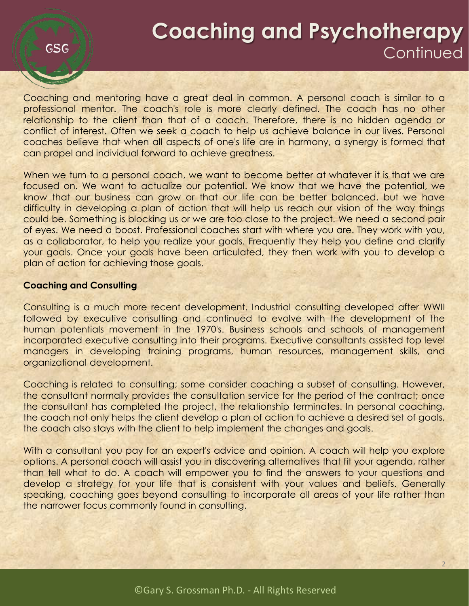Coaching and mentoring have a great deal in common. A personal coach is similar to a professional mentor. The coach's role is more clearly defined. The coach has no other relationship to the client than that of a coach. Therefore, there is no hidden agenda or conflict of interest. Often we seek a coach to help us achieve balance in our lives. Personal coaches believe that when all aspects of one's life are in harmony, a synergy is formed that can propel and individual forward to achieve greatness.

When we turn to a personal coach, we want to become better at whatever it is that we are focused on. We want to actualize our potential. We know that we have the potential, we know that our business can grow or that our life can be better balanced, but we have difficulty in developing a plan of action that will help us reach our vision of the way things could be. Something is blocking us or we are too close to the project. We need a second pair of eyes. We need a boost. Professional coaches start with where you are. They work with you, as a collaborator, to help you realize your goals. Frequently they help you define and clarify your goals. Once your goals have been articulated, they then work with you to develop a plan of action for achieving those goals.

#### **Coaching and Consulting**

GSG

Consulting is a much more recent development. Industrial consulting developed after WWII followed by executive consulting and continued to evolve with the development of the human potentials movement in the 1970's. Business schools and schools of management incorporated executive consulting into their programs. Executive consultants assisted top level managers in developing training programs, human resources, management skills, and organizational development.

Coaching is related to consulting; some consider coaching a subset of consulting. However, the consultant normally provides the consultation service for the period of the contract; once the consultant has completed the project, the relationship terminates. In personal coaching, the coach not only helps the client develop a plan of action to achieve a desired set of goals, the coach also stays with the client to help implement the changes and goals.

With a consultant you pay for an expert's advice and opinion. A coach will help you explore options. A personal coach will assist you in discovering alternatives that fit your agenda, rather than tell what to do. A coach will empower you to find the answers to your questions and develop a strategy for your life that is consistent with your values and beliefs. Generally speaking, coaching goes beyond consulting to incorporate all areas of your life rather than the narrower focus commonly found in consulting.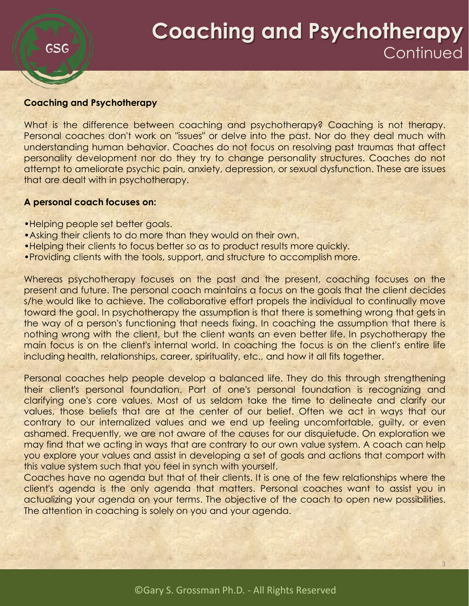#### **Coaching and Psychotherapy**

**GSG** 

What is the difference between coaching and psychotherapy? Coaching is not therapy. Personal coaches don't work on "issues" or delve into the past. Nor do they deal much with understanding human behavior. Coaches do not focus on resolving past traumas that affect personality development nor do they try to change personality structures. Coaches do not attempt to ameliorate psychic pain, anxiety, depression, or sexual dysfunction. These are issues that are dealt with in psychotherapy.

#### **A personal coach focuses on:**

- •Helping people set better goals.
- •Asking their clients to do more than they would on their own.
- •Helping their clients to focus better so as to product results more quickly.
- •Providing clients with the tools, support, and structure to accomplish more.

Whereas psychotherapy focuses on the past and the present, coaching focuses on the present and future. The personal coach maintains a focus on the goals that the client decides s/he would like to achieve. The collaborative effort propels the individual to continually move toward the goal. In psychotherapy the assumption is that there is something wrong that gets in the way of a person's functioning that needs fixing. In coaching the assumption that there is nothing wrong with the client, but the client wants an even better life. In psychotherapy the main focus is on the client's internal world. In coaching the focus is on the client's entire life including health, relationships, career, spirituality, etc., and how it all fits together.

Personal coaches help people develop a balanced life. They do this through strengthening their client's personal foundation. Part of one's personal foundation is recognizing and clarifying one's core values. Most of us seldom take the time to delineate and clarify our values, those beliefs that are at the center of our belief. Often we act in ways that our contrary to our internalized values and we end up feeling uncomfortable, guilty, or even ashamed. Frequently, we are not aware of the causes for our disquietude. On exploration we may find that we acting in ways that are contrary to our own value system. A coach can help you explore your values and assist in developing a set of goals and actions that comport with this value system such that you feel in synch with yourself.

Coaches have no agenda but that of their clients. It is one of the few relationships where the client's agenda is the only agenda that matters. Personal coaches want to assist you in actualizing your agenda on your terms. The objective of the coach to open new possibilities. The attention in coaching is solely on you and your agenda.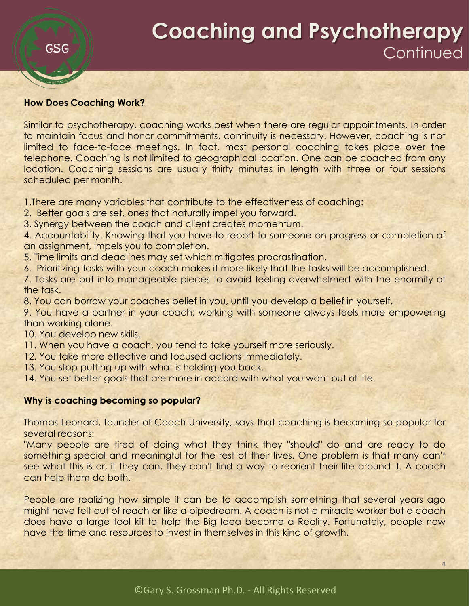#### **How Does Coaching Work?**

SSG

Similar to psychotherapy, coaching works best when there are regular appointments. In order to maintain focus and honor commitments, continuity is necessary. However, coaching is not limited to face-to-face meetings. In fact, most personal coaching takes place over the telephone. Coaching is not limited to geographical location. One can be coached from any location. Coaching sessions are usually thirty minutes in length with three or four sessions scheduled per month.

1.There are many variables that contribute to the effectiveness of coaching:

- 2. Better goals are set, ones that naturally impel you forward.
- 3. Synergy between the coach and client creates momentum.

4. Accountability. Knowing that you have to report to someone on progress or completion of an assignment, impels you to completion.

- 5. Time limits and deadlines may set which mitigates procrastination.
- 6. Prioritizing tasks with your coach makes it more likely that the tasks will be accomplished.

7. Tasks are put into manageable pieces to avoid feeling overwhelmed with the enormity of the task.

8. You can borrow your coaches belief in you, until you develop a belief in yourself.

9. You have a partner in your coach; working with someone always feels more empowering than working alone.

- 10. You develop new skills.
- 11. When you have a coach, you tend to take yourself more seriously.
- 12. You take more effective and focused actions immediately.
- 13. You stop putting up with what is holding you back.
- 14. You set better goals that are more in accord with what you want out of life.

#### **Why is coaching becoming so popular?**

Thomas Leonard, founder of Coach University, says that coaching is becoming so popular for several reasons:

"Many people are tired of doing what they think they "should" do and are ready to do something special and meaningful for the rest of their lives. One problem is that many can't see what this is or, if they can, they can't find a way to reorient their life around it. A coach can help them do both.

People are realizing how simple it can be to accomplish something that several years ago might have felt out of reach or like a pipedream. A coach is not a miracle worker but a coach does have a large tool kit to help the Big Idea become a Reality. Fortunately, people now have the time and resources to invest in themselves in this kind of growth.

4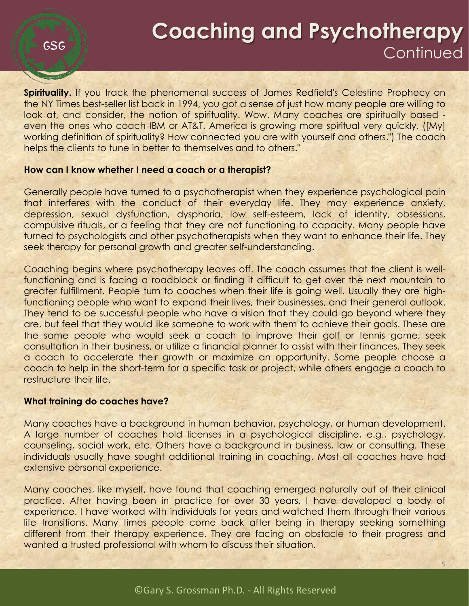**Spirituality.** If you track the phenomenal success of James Redfield's Celestine Prophecy on the NY Times best-seller list back in 1994, you got a sense of just how many people are willing to look at, and consider, the notion of spirituality. Wow. Many coaches are spiritually based even the ones who coach IBM or AT&T. America is growing more spiritual very quickly. ([My] working definition of spirituality? How connected you are with yourself and others.") The coach helps the clients to tune in better to themselves and to others."

#### **How can I know whether I need a coach or a therapist?**

Generally people have turned to a psychotherapist when they experience psychological pain that interferes with the conduct of their everyday life. They may experience anxiety, depression, sexual dysfunction, dysphoria, low self-esteem, lack of identity, obsessions, compulsive rituals, or a feeling that they are not functioning to capacity. Many people have turned to psychologists and other psychotherapists when they want to enhance their life. They seek therapy for personal growth and greater self-understanding.

Coaching begins where psychotherapy leaves off. The coach assumes that the client is wellfunctioning and is facing a roadblock or finding it difficult to get over the next mountain to greater fulfillment. People turn to coaches when their life is going well. Usually they are highfunctioning people who want to expand their lives, their businesses, and their general outlook. They tend to be successful people who have a vision that they could go beyond where they are, but feel that they would like someone to work with them to achieve their goals. These are the same people who would seek a coach to improve their golf or tennis game, seek consultation in their business, or utilize a financial planner to assist with their finances. They seek a coach to accelerate their growth or maximize an opportunity. Some people choose a coach to help in the short-term for a specific task or project, while others engage a coach to restructure their life.

#### **What training do coaches have?**

Many coaches have a background in human behavior, psychology, or human development. A large number of coaches hold licenses in a psychological discipline, e.g., psychology, counseling, social work, etc. Others have a background in business, law or consulting. These individuals usually have sought additional training in coaching. Most all coaches have had extensive personal experience.

Many coaches, like myself, have found that coaching emerged naturally out of their clinical practice. After having been in practice for over 30 years, I have developed a body of experience. I have worked with individuals for years and watched them through their various life transitions. Many times people come back after being in therapy seeking something different from their therapy experience. They are facing an obstacle to their progress and wanted a trusted professional with whom to discuss their situation.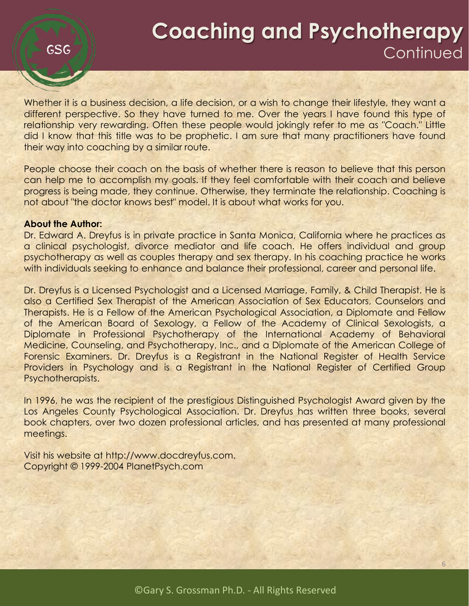**GSG** 

Whether it is a business decision, a life decision, or a wish to change their lifestyle, they want a different perspective. So they have turned to me. Over the years I have found this type of relationship very rewarding. Often these people would jokingly refer to me as "Coach." Little did I know that this title was to be prophetic. I am sure that many practitioners have found their way into coaching by a similar route.

People choose their coach on the basis of whether there is reason to believe that this person can help me to accomplish my goals. If they feel comfortable with their coach and believe progress is being made, they continue. Otherwise, they terminate the relationship. Coaching is not about "the doctor knows best" model. It is about what works for you.

#### **About the Author:**

Dr. Edward A. Dreyfus is in private practice in Santa Monica, California where he practices as a clinical psychologist, divorce mediator and life coach. He offers individual and group psychotherapy as well as couples therapy and sex therapy. In his coaching practice he works with individuals seeking to enhance and balance their professional, career and personal life.

Dr. Dreyfus is a Licensed Psychologist and a Licensed Marriage, Family, & Child Therapist. He is also a Certified Sex Therapist of the American Association of Sex Educators, Counselors and Therapists. He is a Fellow of the American Psychological Association, a Diplomate and Fellow of the American Board of Sexology, a Fellow of the Academy of Clinical Sexologists, a Diplomate in Professional Psychotherapy of the International Academy of Behavioral Medicine, Counseling, and Psychotherapy, Inc., and a Diplomate of the American College of Forensic Examiners. Dr. Dreyfus is a Registrant in the National Register of Health Service Providers in Psychology and is a Registrant in the National Register of Certified Group Psychotherapists.

In 1996, he was the recipient of the prestigious Distinguished Psychologist Award given by the Los Angeles County Psychological Association. Dr. Dreyfus has written three books, several book chapters, over two dozen professional articles, and has presented at many professional meetings.

Visit his website at http://www.docdreyfus.com. Copyright © 1999-2004 PlanetPsych.com